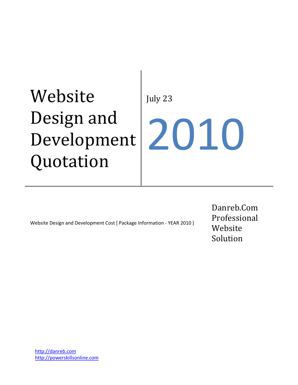# Website Design and Development Quotation

July 23 2010

Website Design and Development Cost [ Package Information ‐ YEAR 2010 ]

Danreb.Com Professional Website Solution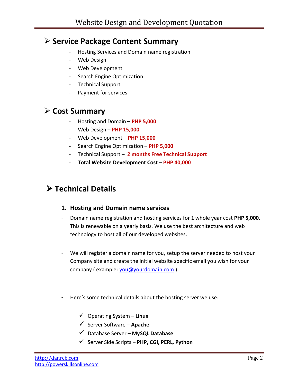# ÿ **Service Package Content Summary**

- ‐ Hosting Services and Domain name registration
- ‐ Web Design
- ‐ Web Development
- ‐ Search Engine Optimization
- ‐ Technical Support
- ‐ Payment for services

# ÿ **Cost Summary**

- ‐ Hosting and Domain **PHP 5,000**
- ‐ Web Design **PHP 15,000**
- ‐ Web Development **PHP 15,000**
- ‐ Search Engine Optimization **PHP 5,000**
- ‐ Technical Support **2 months Free Technical Support**
- ‐ **Total Website Development Cost PHP 40,000**

# ÿ **Technical Details**

#### **1. Hosting and Domain name services**

- ‐ Domain name registration and hosting services for 1 whole year cost **PHP 5,000.** This is renewable on a yearly basis. We use the best architecture and web technology to host all of our developed websites.
- ‐ We will register a domain name for you, setup the server needed to host your Company site and create the initial website specific email you wish for your company ( example: [you@yourdomain.com](mailto:you@yourdomain.com) ).
- ‐ Here's some technical details about the hosting server we use:
	- ¸ Operating System **Linux**
	- ¸ Server Software **Apache**
	- ¸ Database Server **MySQL Database**
	- ¸ Server Side Scripts **PHP, CGI, PERL, Python**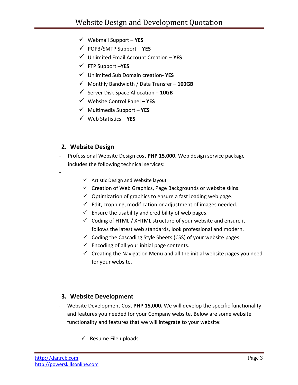- ¸ Webmail Support **YES**
- ¸ POP3/SMTP Support **YES**
- ¸ Unlimited Email Account Creation **YES**
- ¸ FTP Support –**YES**
- ¸ Unlimited Sub Domain creation‐ **YES**
- ¸ Monthly Bandwidth / Data Transfer **100GB**
- ¸ Server Disk Space Allocation **10GB**
- ¸ Website Control Panel **YES**
- ¸ Multimedia Support **YES**
- ¸ Web Statistics **YES**

#### **2. Website Design**

‐

- ‐ Professional Website Design cost **PHP 15,000.** Web design service package includes the following technical services:
	- $\checkmark$  Artistic Design and Website layout
	- $\checkmark$  Creation of Web Graphics, Page Backgrounds or website skins.
	- $\checkmark$  Optimization of graphics to ensure a fast loading web page.
	- $\checkmark$  Edit, cropping, modification or adjustment of images needed.
	- $\checkmark$  Ensure the usability and credibility of web pages.
	- $\checkmark$  Coding of HTML / XHTML structure of your website and ensure it follows the latest web standards, look professional and modern.
	- $\checkmark$  Coding the Cascading Style Sheets (CSS) of your website pages.
	- $\checkmark$  Encoding of all your initial page contents.
	- $\checkmark$  Creating the Navigation Menu and all the initial website pages you need for your website.

#### **3. Website Development**

- ‐ Website Development Cost **PHP 15,000.** We will develop the specific functionality and features you needed for your Company website. Below are some website functionality and features that we will integrate to your website:
	- $\checkmark$  Resume File uploads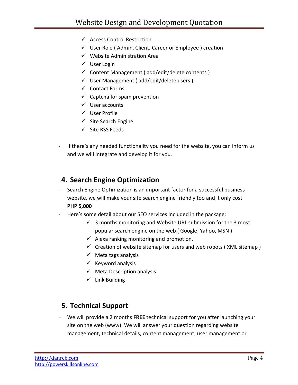- $\checkmark$  Access Control Restriction
- $\checkmark$  User Role (Admin, Client, Career or Employee) creation
- $\checkmark$  Website Administration Area
- $\checkmark$  User Login
- $\checkmark$  Content Management ( add/edit/delete contents )
- $\checkmark$  User Management (add/edit/delete users)
- $\checkmark$  Contact Forms
- $\checkmark$  Captcha for spam prevention
- $\checkmark$  User accounts
- $\checkmark$  User Profile
- $\checkmark$  Site Search Engine
- $\checkmark$  Site RSS Feeds
- ‐ If there's any needed functionality you need for the website, you can inform us and we will integrate and develop it for you.

## **4. Search Engine Optimization**

- Search Engine Optimization is an important factor for a successful business website, we will make your site search engine friendly too and it only cost **PHP 5,000**
- Here's some detail about our SEO services included in the package:
	- $\checkmark$  3 months monitoring and Website URL submission for the 3 most popular search engine on the web ( Google, Yahoo, MSN )
	- $\checkmark$  Alexa ranking monitoring and promotion.
	- $\checkmark$  Creation of website sitemap for users and web robots (XML sitemap)
	- $\checkmark$  Meta tags analysis
	- $\checkmark$  Keyword analysis
	- $\checkmark$  Meta Description analysis
	- $\checkmark$  Link Building

## **5. Technical Support**

‐ We will provide a 2 months **FREE** technical support for you after launching your site on the web (www). We will answer your question regarding website management, technical details, content management, user management or